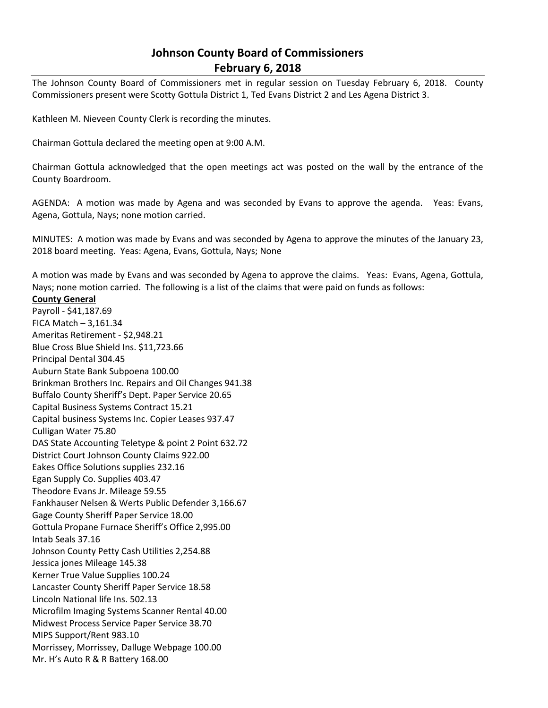## **Johnson County Board of Commissioners February 6, 2018**

The Johnson County Board of Commissioners met in regular session on Tuesday February 6, 2018. County Commissioners present were Scotty Gottula District 1, Ted Evans District 2 and Les Agena District 3.

Kathleen M. Nieveen County Clerk is recording the minutes.

Chairman Gottula declared the meeting open at 9:00 A.M.

Chairman Gottula acknowledged that the open meetings act was posted on the wall by the entrance of the County Boardroom.

AGENDA: A motion was made by Agena and was seconded by Evans to approve the agenda. Yeas: Evans, Agena, Gottula, Nays; none motion carried.

MINUTES: A motion was made by Evans and was seconded by Agena to approve the minutes of the January 23, 2018 board meeting. Yeas: Agena, Evans, Gottula, Nays; None

A motion was made by Evans and was seconded by Agena to approve the claims. Yeas: Evans, Agena, Gottula, Nays; none motion carried. The following is a list of the claims that were paid on funds as follows:

## **County General**

Payroll - \$41,187.69 FICA Match – 3,161.34 Ameritas Retirement - \$2,948.21 Blue Cross Blue Shield Ins. \$11,723.66 Principal Dental 304.45 Auburn State Bank Subpoena 100.00 Brinkman Brothers Inc. Repairs and Oil Changes 941.38 Buffalo County Sheriff's Dept. Paper Service 20.65 Capital Business Systems Contract 15.21 Capital business Systems Inc. Copier Leases 937.47 Culligan Water 75.80 DAS State Accounting Teletype & point 2 Point 632.72 District Court Johnson County Claims 922.00 Eakes Office Solutions supplies 232.16 Egan Supply Co. Supplies 403.47 Theodore Evans Jr. Mileage 59.55 Fankhauser Nelsen & Werts Public Defender 3,166.67 Gage County Sheriff Paper Service 18.00 Gottula Propane Furnace Sheriff's Office 2,995.00 Intab Seals 37.16 Johnson County Petty Cash Utilities 2,254.88 Jessica jones Mileage 145.38 Kerner True Value Supplies 100.24 Lancaster County Sheriff Paper Service 18.58 Lincoln National life Ins. 502.13 Microfilm Imaging Systems Scanner Rental 40.00 Midwest Process Service Paper Service 38.70 MIPS Support/Rent 983.10 Morrissey, Morrissey, Dalluge Webpage 100.00 Mr. H's Auto R & R Battery 168.00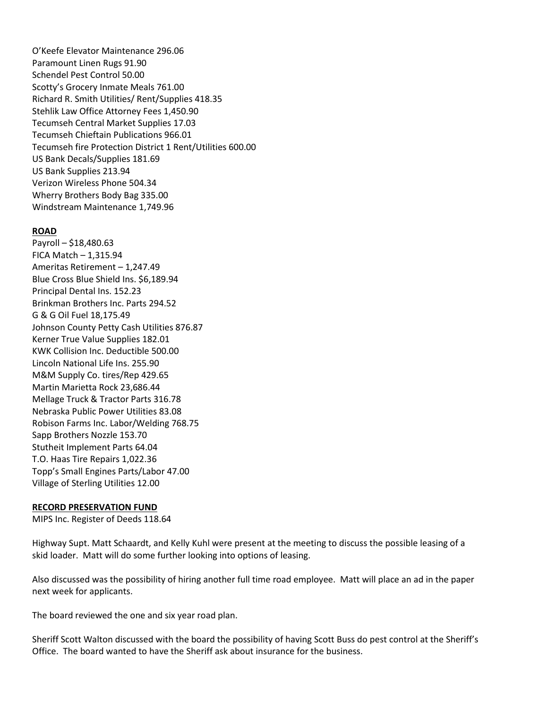O'Keefe Elevator Maintenance 296.06 Paramount Linen Rugs 91.90 Schendel Pest Control 50.00 Scotty's Grocery Inmate Meals 761.00 Richard R. Smith Utilities/ Rent/Supplies 418.35 Stehlik Law Office Attorney Fees 1,450.90 Tecumseh Central Market Supplies 17.03 Tecumseh Chieftain Publications 966.01 Tecumseh fire Protection District 1 Rent/Utilities 600.00 US Bank Decals/Supplies 181.69 US Bank Supplies 213.94 Verizon Wireless Phone 504.34 Wherry Brothers Body Bag 335.00 Windstream Maintenance 1,749.96

## **ROAD**

Payroll – \$18,480.63 FICA Match – 1,315.94 Ameritas Retirement – 1,247.49 Blue Cross Blue Shield Ins. \$6,189.94 Principal Dental Ins. 152.23 Brinkman Brothers Inc. Parts 294.52 G & G Oil Fuel 18,175.49 Johnson County Petty Cash Utilities 876.87 Kerner True Value Supplies 182.01 KWK Collision Inc. Deductible 500.00 Lincoln National Life Ins. 255.90 M&M Supply Co. tires/Rep 429.65 Martin Marietta Rock 23,686.44 Mellage Truck & Tractor Parts 316.78 Nebraska Public Power Utilities 83.08 Robison Farms Inc. Labor/Welding 768.75 Sapp Brothers Nozzle 153.70 Stutheit Implement Parts 64.04 T.O. Haas Tire Repairs 1,022.36 Topp's Small Engines Parts/Labor 47.00 Village of Sterling Utilities 12.00

## **RECORD PRESERVATION FUND**

MIPS Inc. Register of Deeds 118.64

Highway Supt. Matt Schaardt, and Kelly Kuhl were present at the meeting to discuss the possible leasing of a skid loader. Matt will do some further looking into options of leasing.

Also discussed was the possibility of hiring another full time road employee. Matt will place an ad in the paper next week for applicants.

The board reviewed the one and six year road plan.

Sheriff Scott Walton discussed with the board the possibility of having Scott Buss do pest control at the Sheriff's Office. The board wanted to have the Sheriff ask about insurance for the business.